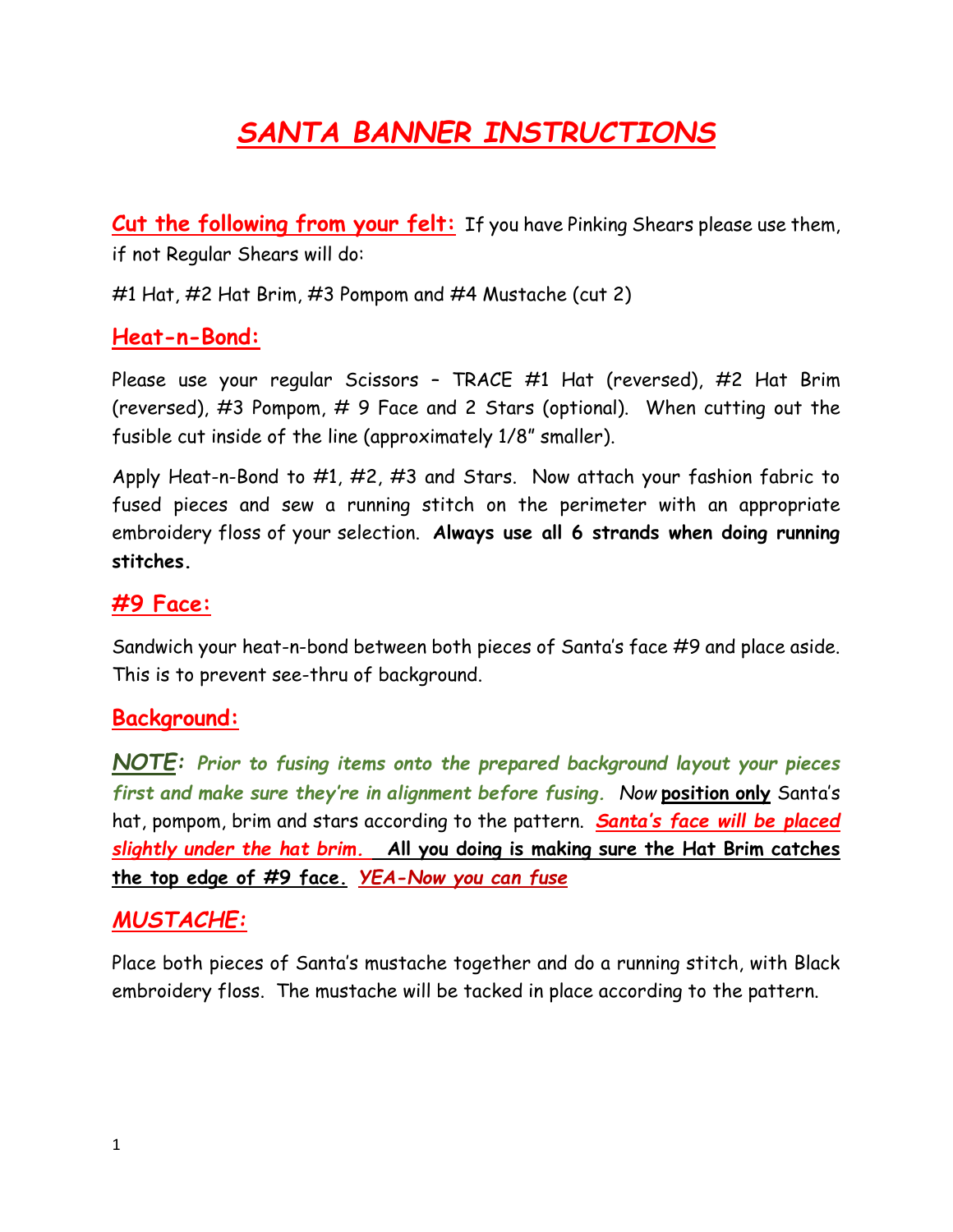# *SANTA BANNER INSTRUCTIONS*

**Cut the following from your felt:** If you have Pinking Shears please use them, if not Regular Shears will do:

#1 Hat, #2 Hat Brim, #3 Pompom and #4 Mustache (cut 2)

#### **Heat-n-Bond:**

Please use your regular Scissors – TRACE #1 Hat (reversed), #2 Hat Brim (reversed), #3 Pompom, # 9 Face and 2 Stars (optional). When cutting out the fusible cut inside of the line (approximately 1/8" smaller).

Apply Heat-n-Bond to #1, #2, #3 and Stars. Now attach your fashion fabric to fused pieces and sew a running stitch on the perimeter with an appropriate embroidery floss of your selection. **Always use all 6 strands when doing running stitches.**

#### **#9 Face:**

Sandwich your heat-n-bond between both pieces of Santa's face #9 and place aside. This is to prevent see-thru of background.

## **Background:**

*NOTE: Prior to fusing items onto the prepared background layout your pieces first and make sure they're in alignment before fusing. Now* **position only** Santa's hat, pompom, brim and stars according to the pattern. *Santa's face will be placed slightly under the hat brim.* **All you doing is making sure the Hat Brim catches the top edge of #9 face.** *YEA-Now you can fuse*

#### *MUSTACHE:*

Place both pieces of Santa's mustache together and do a running stitch, with Black embroidery floss. The mustache will be tacked in place according to the pattern.